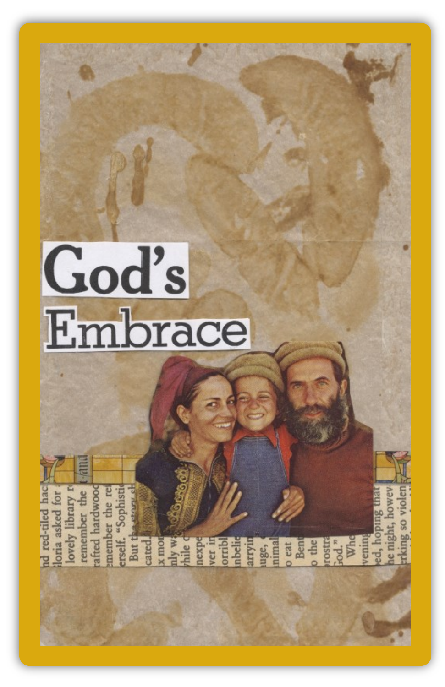

red-tiled

done add for the contract the contract of the contract of the contract of the contract of the contract of the contract of the contract of the contract of the contract of the contract of the contract of the contract of the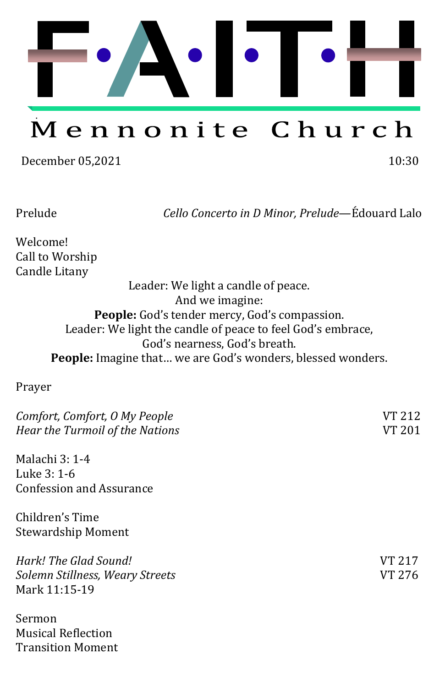

# Mennonite Church

December 05,2021 10:30

Prelude *Cello Concerto in D Minor, Prelude*—É douard Lalo

Welcome! Call to Worship Candle Litany

> Leader: We light a candle of peace. And we imagine: **People:** God's tender mercy, God's compassion. Leader: We light the candle of peace to feel God's embrace, God's nearness, God's breath. **People:** Imagine that… we are God's wonders, blessed wonders.

Prayer

| Comfort, Comfort, O My People         | VT 212 |
|---------------------------------------|--------|
| Hear the Turmoil of the Nations       | VT 201 |
| Malachi 3: 1-4                        |        |
| Luke 3: 1-6                           |        |
| <b>Confession and Assurance</b>       |        |
| Children's Time                       |        |
| <b>Stewardship Moment</b>             |        |
| Hark! The Glad Sound!                 | VT 217 |
| Solemn Stillness, Weary Streets       | VT 276 |
| Mark 11:15-19                         |        |
| $C_{\alpha}$ and $\alpha$ is $\alpha$ |        |

Sermon Musical Reflection Transition Moment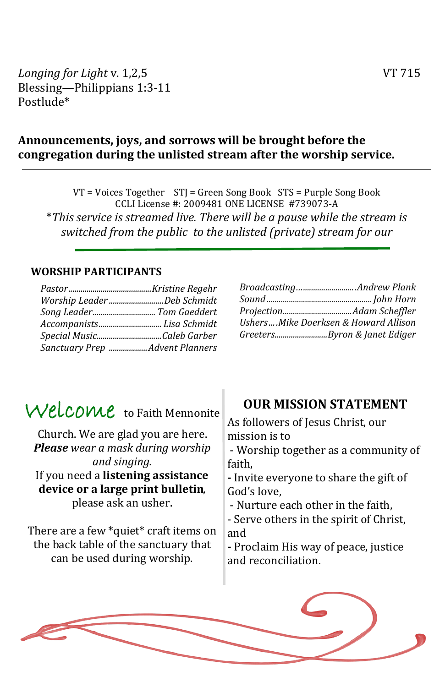*Longing for Light v.* 1,2,5 *VT* 715 Blessing—Philippians 1:3-11 Postlude\*

### **Announcements, joys, and sorrows will be brought before the congregation during the unlisted stream after the worship service.**

VT = Voices Together STJ = Green Song Book STS = Purple Song Book CCLI License #: 2009481 ONÉ LICÉNSÉ #739073-A \**This service is streamed live. There will be a pause while the stream is switched from the public to the unlisted (private) stream for our* 

#### **WORSHIP PARTICIPANTS**

| Worship LeaderDeb Schmidt      |
|--------------------------------|
|                                |
| Accompanists Lisa Schmidt      |
|                                |
| Sanctuary Prep Advent Planners |

| BroadcastingAndrew Plank                |
|-----------------------------------------|
|                                         |
|                                         |
| Ushers  .Mike Doerksen & Howard Allison |
| GreetersByron & Janet Ediger            |

## Welcome to Faith Mennonite

Church. We are glad you are here. *Please wear a mask during worship and singing.* If you need a **listening assistance device or a large print bulletin**, please ask an usher.

There are a few \*quiet\* craft items on the back table of the sanctuary that can be used during worship.

### **OUR MISSION STATEMENT**

As followers of Jesus Christ, our mission is to - Worship together as a community of faith, **-** Invite everyone to share the gift of God's love, - Nurture each other in the faith, - Serve others in the spirit of Christ, and **-** Proclaim His way of peace, justice and reconciliation.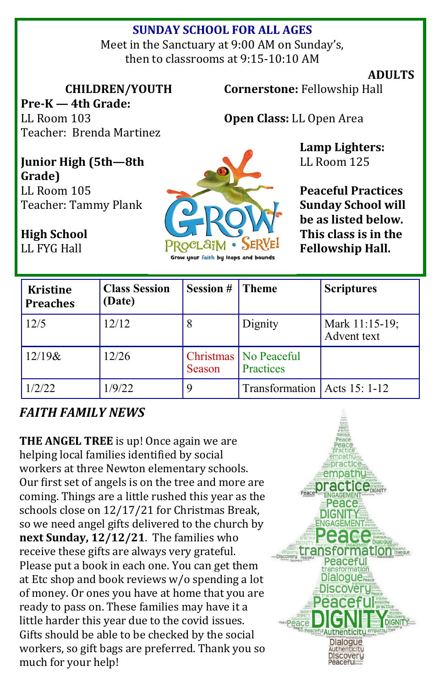## **SUNDAY SCHOOL FOR ALL AGES**

Meet in the Sanctuary at 9:00 AM on Sunday's, then to classrooms at 9:15-10:10 AM

#### **ADULTS**

**CHILDREN/YOUTH**

**Pre-K — 4th Grade:**  LL Room 103 Teacher: Brenda Martinez **Cornerstone:** Fellowship Hall

**Open Class:** LL Open Area

**Lamp Lighters:**  LL Room 125

**Peaceful Practices Sunday School will be as listed below. This class is in the Fellowship Hall.**

**Junior High (5th—8th Grade)** LL Room 105 Teacher: Tammy Plank

**High School**  LL FYG Hall



| <b>Kristine</b><br><b>Preaches</b> | <b>Class Session</b><br>(Date) | <b>Session #</b> | <b>Theme</b>                         | <b>Scriptures</b>             |
|------------------------------------|--------------------------------|------------------|--------------------------------------|-------------------------------|
| 12/5                               | 12/12                          | 8                | Dignity                              | Mark 11:15-19;<br>Advent text |
| $12/19$ &                          | 12/26                          | Season           | Christmas   No Peaceful<br>Practices |                               |
| 1/2/22                             | 1/9/22                         |                  | Transformation   Acts 15: 1-12       |                               |

## *FAITH FAMILY NEWS*

**THE ANGEL TREE** is up! Once again we are helping local families identified by social workers at three Newton elementary schools. Our first set of angels is on the tree and more are coming. Things are a little rushed this year as the schools close on 12/17/21 for Christmas Break, so we need angel gifts delivered to the church by **next Sunday, 12/12/21**. The families who receive these gifts are always very grateful. Please put a book in each one. You can get them at Étc shop and book reviews w/o spending a lot of money. Or ones you have at home that you are ready to pass on. These families may have it a little harder this year due to the covid issues. Gifts should be able to be checked by the social workers, so gift bags are preferred. Thank you so much for your help!

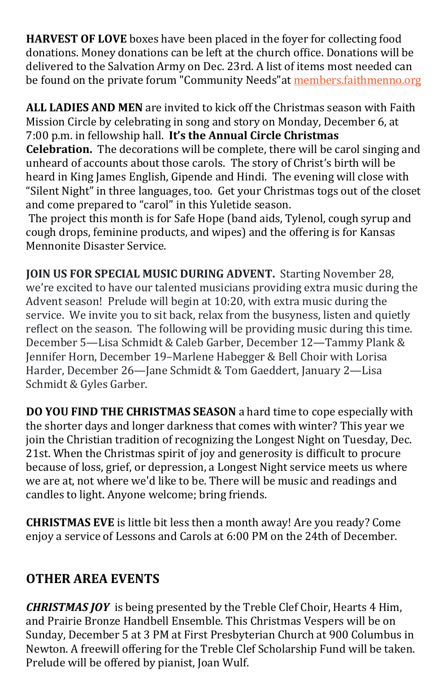**HARVEST OF LOVE** boxes have been placed in the foyer for collecting food donations. Money donations can be left at the church office. Donations will be delivered to the Salvation Army on Dec. 23rd. A list of items most needed can be found on the private forum "Community Needs" at [members.faithmenno.org](http://members.faithmenno.org)

**ALL LADIES AND MEN** are invited to kick off the Christmas season with Faith Mission Circle by celebrating in song and story on Monday, December 6, at 7:00 p.m. in fellowship hall. **It's the Annual Circle Christmas Celebration.** The decorations will be complete, there will be carol singing and unheard of accounts about those carols. The story of Christ's birth will be heard in King James Énglish, Gipende and Hindi. The evening will close with "Silent Night" in three languages, too. Get your Christmas togs out of the closet and come prepared to "carol" in this Yuletide season.

The project this month is for Safe Hope (band aids, Tylenol, cough syrup and cough drops, feminine products, and wipes) and the offering is for Kansas Mennonite Disaster Service.

**JOIN US FOR SPECIAL MUSIC DURING ADVENT.** Starting November 28, we're excited to have our talented musicians providing extra music during the Advent season! Prelude will begin at 10:20, with extra music during the service. We invite you to sit back, relax from the busyness, listen and quietly reflect on the season. The following will be providing music during this time. December 5—Lisa Schmidt & Caleb Garber, December 12—Tammy Plank & Jennifer Horn, December 19–Marlene Habegger & Bell Choir with Lorisa Harder, December 26—Jane Schmidt & Tom Gaeddert, January 2—Lisa Schmidt & Gyles Garber.

**DO YOU FIND THE CHRISTMAS SEASON** a hard time to cope especially with the shorter days and longer darkness that comes with winter? This year we join the Christian tradition of recognizing the Longest Night on Tuesday, Dec. 21st. When the Christmas spirit of joy and generosity is difficult to procure because of loss, grief, or depression, a Longest Night service meets us where we are at, not where we'd like to be. There will be music and readings and candles to light. Anyone welcome; bring friends.

**CHRISTMAS EVE** is little bit less then a month away! Are you ready? Come enjoy a service of Lessons and Carols at 6:00 PM on the 24th of December.

## **OTHER AREA EVENTS**

*CHRISTMAS JOY* is being presented by the Treble Clef Choir, Hearts 4 Him, and Prairie Bronze Handbell Énsemble. This Christmas Vespers will be on Sunday, December 5 at 3 PM at First Presbyterian Church at 900 Columbus in Newton. A freewill offering for the Treble Clef Scholarship Fund will be taken. Prelude will be offered by pianist, Joan Wulf.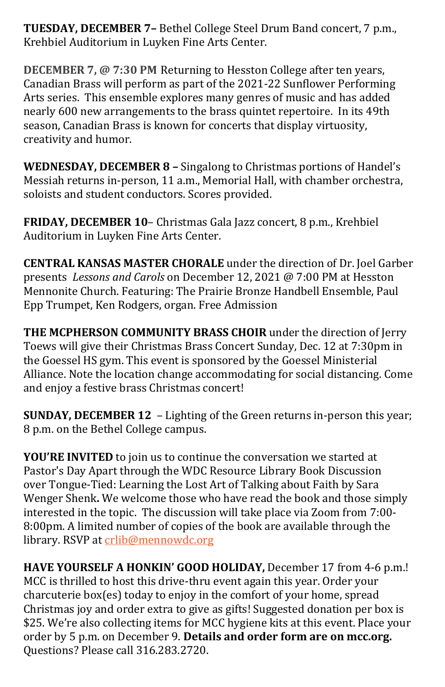**TUESDAY, DECEMBER 7–** Bethel College Steel Drum Band concert, 7 p.m., Krehbiel Auditorium in Luyken Fine Arts Center.

**DECEMBER 7, @ 7:30 PM** Returning to Hesston College after ten years, Canadian Brass will perform as part of the 2021-22 Sunflower Performing Arts series. This ensemble explores many genres of music and has added nearly 600 new arrangements to the brass quintet repertoire. In its 49th season, Canadian Brass is known for concerts that display virtuosity, creativity and humor.

**WEDNESDAY, DECEMBER 8 –** Singalong to Christmas portions of Handel's Messiah returns in-person, 11 a.m., Memorial Hall, with chamber orchestra, soloists and student conductors. Scores provided.

**FRIDAY, DECEMBER 10**– Christmas Gala Jazz concert, 8 p.m., Krehbiel Auditorium in Luyken Fine Arts Center.

**CENTRAL KANSAS MASTER CHORALE** under the direction of Dr. Joel Garber presents *Lessons and Carols* on December 12, 2021 @ 7:00 PM at Hesston Mennonite Church. Featuring: The Prairie Bronze Handbell Énsemble, Paul Épp Trumpet, Ken Rodgers, organ. Free Admission

**THE MCPHERSON COMMUNITY BRASS CHOIR** under the direction of Jerry Toews will give their Christmas Brass Concert Sunday, Dec. 12 at 7:30pm in the Goessel HS gym. This event is sponsored by the Goessel Ministerial Alliance. Note the location change accommodating for social distancing. Come and enjoy a festive brass Christmas concert!

**SUNDAY, DECEMBER 12** – Lighting of the Green returns in-person this year; 8 p.m. on the Bethel College campus.

**YOU'RE INVITED** to join us to continue the conversation we started at Pastor's Day Apart through the WDC Resource Library Book Discussion over Tongue-Tied: Learning the Lost Art of Talking about Faith by Sara Wenger Shenk**.** We welcome those who have read the book and those simply interested in the topic. The discussion will take place via Zoom from 7:00- 8:00pm. A limited number of copies of the book are available through the library. RSVP at [crlib@mennowdc.org](mailto:crlib@mennowdc.org)

**HAVE YOURSELF A HONKIN' GOOD HOLIDAY,** December 17 from 4-6 p.m.! MCC is thrilled to host this drive-thru event again this year. Order your charcuterie box(es) today to enjoy in the comfort of your home, spread Christmas joy and order extra to give as gifts! Suggested donation per box is \$25. We're also collecting items for [MCC hygiene kits](https://mcc.org/get-involved/kits/hygiene) at this event. Place your order by 5 p.m. on December 9. **[Details and order form are on mcc.org.](https://mcc.org/get-involved/events/have-yourself-honkin-good-holiday)** Questions? Please call 316.283.2720.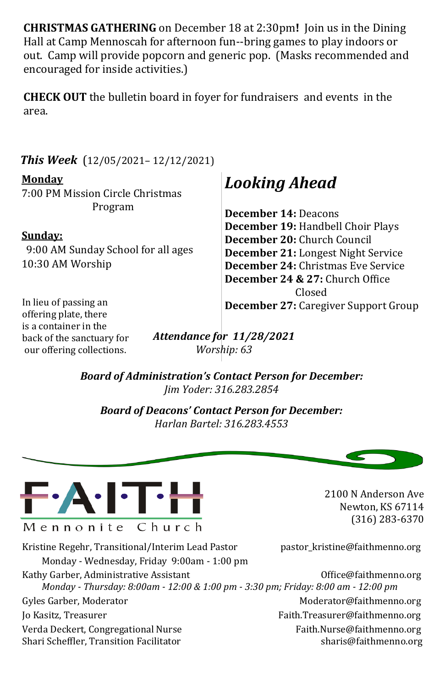**CHRISTMAS GATHERING** on December 18 at 2:30pm**!** Join us in the Dining Hall at Camp Mennoscah for afternoon fun--bring games to play indoors or out. Camp will provide popcorn and generic pop. (Masks recommended and encouraged for inside activities.)

**CHECK OUT** the bulletin board in foyer for fundraisers and events in the area.

*This Week* (12/05/2021– 12/12/2021)

#### **Monday**

7:00 PM Mission Circle Christmas Program

#### **Sunday:**

 9:00 AM Sunday School for all ages 10:30 AM Worship

## *Looking Ahead*

**December 14:** Deacons **December 19:** Handbell Choir Plays **December 20:** Church Council **December 21:** Longest Night Service **December 24:** Christmas Éve Service **December 24 & 27:** Church Office Closed **December 27:** Caregiver Support Group

In lieu of passing an offering plate, there is a container in the back of the sanctuary for our offering collections.

*Attendance for 11/28/2021 Worship: 63*

*Board of Administration's Contact Person for December: Jim Yoder: 316.283.2854*

*Board of Deacons' Contact Person for December: Harlan Bartel: 316.283.4553*



Kristine Regehr, Transitional/Interim Lead Pastor pastor\_kristine@faithmenno.org Monday - Wednesday, Friday 9:00am - 1:00 pm Kathy Garber, Administrative Assistant **Channel Communistrative Assistant** Office@faithmenno.org *Monday - Thursday: 8:00am - 12:00 & 1:00 pm - 3:30 pm; Friday: 8:00 am - 12:00 pm* Gyles Garber, Moderator Moderator Moderator Moderator Moderator Moderator Moderator Moderator Music School and Moderator Music School and Music School and Music School and Music School and Music School and Music School and Jo Kasitz, Treasurer Faith.Treasurer@faithmenno.org Verda Deckert, Congregational Nurse Faith.Nurse@faithmenno.org Shari Scheffler, Transition Facilitator share sharis@faithmenno.org

2100 N Anderson Ave Newton, KS 67114 (316) 283-6370